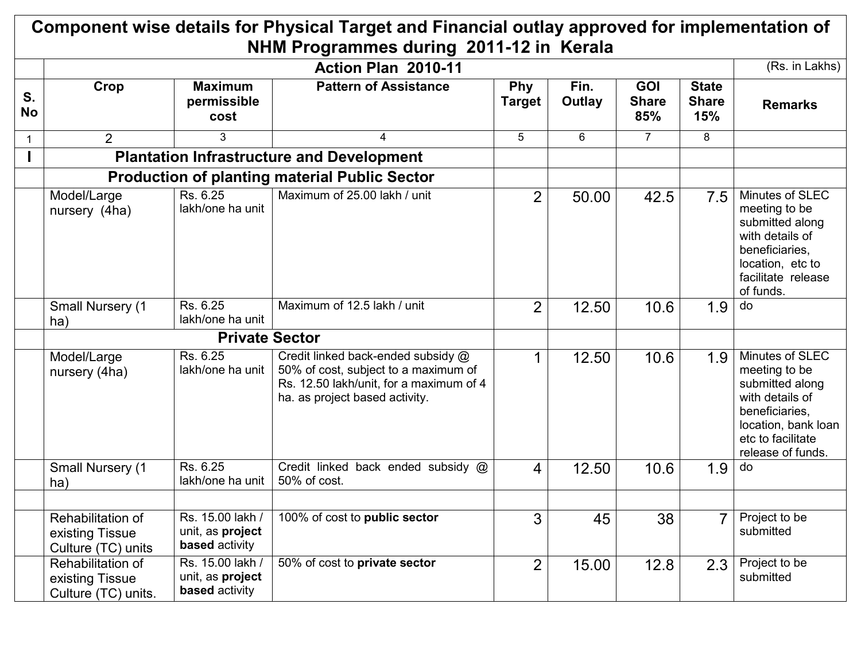|                 |                                                             |                                                               | Component wise details for Physical Target and Financial outlay approved for implementation of                                                          |                             |                |                                   |                                     |                                                                                                                                                           |
|-----------------|-------------------------------------------------------------|---------------------------------------------------------------|---------------------------------------------------------------------------------------------------------------------------------------------------------|-----------------------------|----------------|-----------------------------------|-------------------------------------|-----------------------------------------------------------------------------------------------------------------------------------------------------------|
|                 |                                                             |                                                               | NHM Programmes during 2011-12 in Kerala<br>Action Plan 2010-11                                                                                          |                             |                |                                   |                                     | (Rs. in Lakhs)                                                                                                                                            |
| S.<br><b>No</b> | Crop                                                        | <b>Maximum</b><br>permissible<br>cost                         | <b>Pattern of Assistance</b>                                                                                                                            | <b>Phy</b><br><b>Target</b> | Fin.<br>Outlay | <b>GOI</b><br><b>Share</b><br>85% | <b>State</b><br><b>Share</b><br>15% | <b>Remarks</b>                                                                                                                                            |
|                 | 2                                                           | 3                                                             | 4                                                                                                                                                       | 5                           | 6              | $\overline{7}$                    | 8                                   |                                                                                                                                                           |
|                 |                                                             |                                                               | <b>Plantation Infrastructure and Development</b>                                                                                                        |                             |                |                                   |                                     |                                                                                                                                                           |
|                 |                                                             |                                                               | <b>Production of planting material Public Sector</b>                                                                                                    |                             |                |                                   |                                     |                                                                                                                                                           |
|                 | Model/Large<br>nursery (4ha)                                | Rs. 6.25<br>lakh/one ha unit                                  | Maximum of 25.00 lakh / unit                                                                                                                            | $\overline{2}$              | 50.00          | 42.5                              | 7.5                                 | Minutes of SLEC<br>meeting to be<br>submitted along<br>with details of<br>beneficiaries,<br>location, etc to<br>facilitate release<br>of funds.           |
|                 | Small Nursery (1<br>ha)                                     | Rs. 6.25<br>lakh/one ha unit                                  | Maximum of 12.5 lakh / unit                                                                                                                             | $\overline{2}$              | 12.50          | 10.6                              | 1.9                                 | do                                                                                                                                                        |
|                 |                                                             | <b>Private Sector</b>                                         |                                                                                                                                                         |                             |                |                                   |                                     |                                                                                                                                                           |
|                 | Model/Large<br>nursery (4ha)                                | Rs. 6.25<br>lakh/one ha unit                                  | Credit linked back-ended subsidy @<br>50% of cost, subject to a maximum of<br>Rs. 12.50 lakh/unit, for a maximum of 4<br>ha. as project based activity. |                             | 12.50          | 10.6                              | 1.9                                 | Minutes of SLEC<br>meeting to be<br>submitted along<br>with details of<br>beneficiaries,<br>location, bank loan<br>etc to facilitate<br>release of funds. |
|                 | <b>Small Nursery (1</b><br>ha)                              | Rs. 6.25<br>lakh/one ha unit                                  | Credit linked back ended subsidy @<br>50% of cost.                                                                                                      | $\overline{4}$              | 12.50          | 10.6                              | 1.9                                 | do                                                                                                                                                        |
|                 | Rehabilitation of<br>existing Tissue<br>Culture (TC) units  | Rs. 15.00 lakh /<br>unit, as project<br><b>based</b> activity | 100% of cost to public sector                                                                                                                           | 3                           | 45             | 38                                | $\overline{7}$                      | Project to be<br>submitted                                                                                                                                |
|                 | Rehabilitation of<br>existing Tissue<br>Culture (TC) units. | Rs. 15.00 lakh /<br>unit, as project<br><b>based</b> activity | 50% of cost to private sector                                                                                                                           | 2                           | 15.00          | 12.8                              | 2.3                                 | Project to be<br>submitted                                                                                                                                |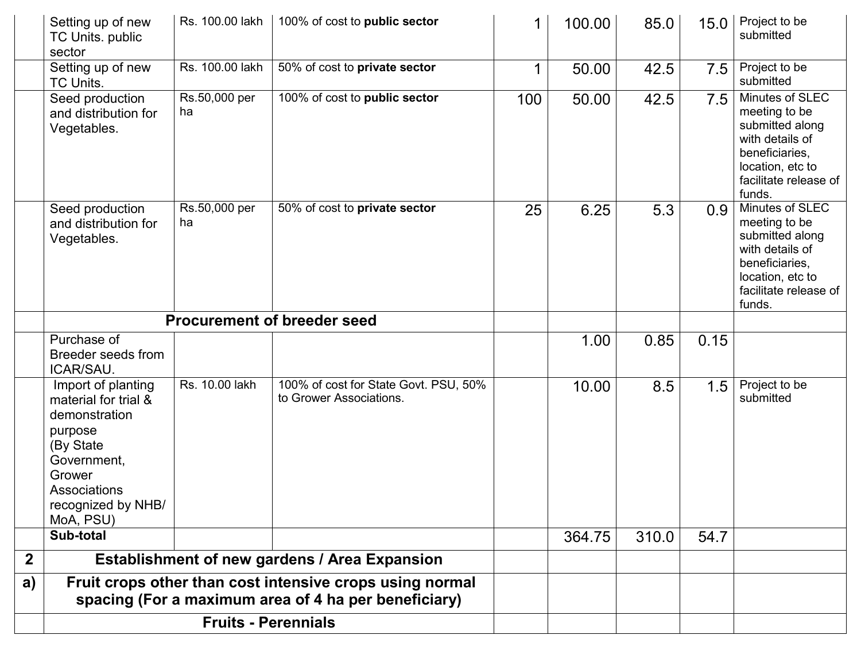|              | Setting up of new<br>TC Units. public                                                                                                                           | Rs. 100.00 lakh     | 100% of cost to public sector                                                                                    | 1   | 100.00 | 85.0  | 15.0 | Project to be<br>submitted                                                                                                                      |
|--------------|-----------------------------------------------------------------------------------------------------------------------------------------------------------------|---------------------|------------------------------------------------------------------------------------------------------------------|-----|--------|-------|------|-------------------------------------------------------------------------------------------------------------------------------------------------|
|              | sector                                                                                                                                                          |                     |                                                                                                                  |     |        |       |      |                                                                                                                                                 |
|              | Setting up of new<br>TC Units.                                                                                                                                  | Rs. 100.00 lakh     | 50% of cost to private sector                                                                                    |     | 50.00  | 42.5  | 7.5  | Project to be<br>submitted                                                                                                                      |
|              | Seed production<br>and distribution for<br>Vegetables.                                                                                                          | Rs.50,000 per<br>ha | 100% of cost to public sector                                                                                    | 100 | 50.00  | 42.5  | 7.5  | Minutes of SLEC<br>meeting to be<br>submitted along<br>with details of<br>beneficiaries,<br>location, etc to<br>facilitate release of<br>funds. |
|              | Seed production<br>and distribution for<br>Vegetables.                                                                                                          | Rs.50,000 per<br>ha | 50% of cost to private sector                                                                                    | 25  | 6.25   | 5.3   | 0.9  | Minutes of SLEC<br>meeting to be<br>submitted along<br>with details of<br>beneficiaries,<br>location, etc to<br>facilitate release of<br>funds. |
|              |                                                                                                                                                                 |                     | <b>Procurement of breeder seed</b>                                                                               |     |        |       |      |                                                                                                                                                 |
|              | Purchase of<br>Breeder seeds from<br>ICAR/SAU.                                                                                                                  |                     |                                                                                                                  |     | 1.00   | 0.85  | 0.15 |                                                                                                                                                 |
|              | Import of planting<br>material for trial &<br>demonstration<br>purpose<br>(By State<br>Government,<br>Grower<br>Associations<br>recognized by NHB/<br>MoA, PSU) | Rs. 10.00 lakh      | 100% of cost for State Govt. PSU, 50%<br>to Grower Associations.                                                 |     | 10.00  | 8.5   | 1.5  | Project to be<br>submitted                                                                                                                      |
|              | Sub-total                                                                                                                                                       |                     |                                                                                                                  |     | 364.75 | 310.0 | 54.7 |                                                                                                                                                 |
| $\mathbf{2}$ |                                                                                                                                                                 |                     | <b>Establishment of new gardens / Area Expansion</b>                                                             |     |        |       |      |                                                                                                                                                 |
| a)           |                                                                                                                                                                 |                     | Fruit crops other than cost intensive crops using normal<br>spacing (For a maximum area of 4 ha per beneficiary) |     |        |       |      |                                                                                                                                                 |
|              |                                                                                                                                                                 |                     |                                                                                                                  |     |        |       |      |                                                                                                                                                 |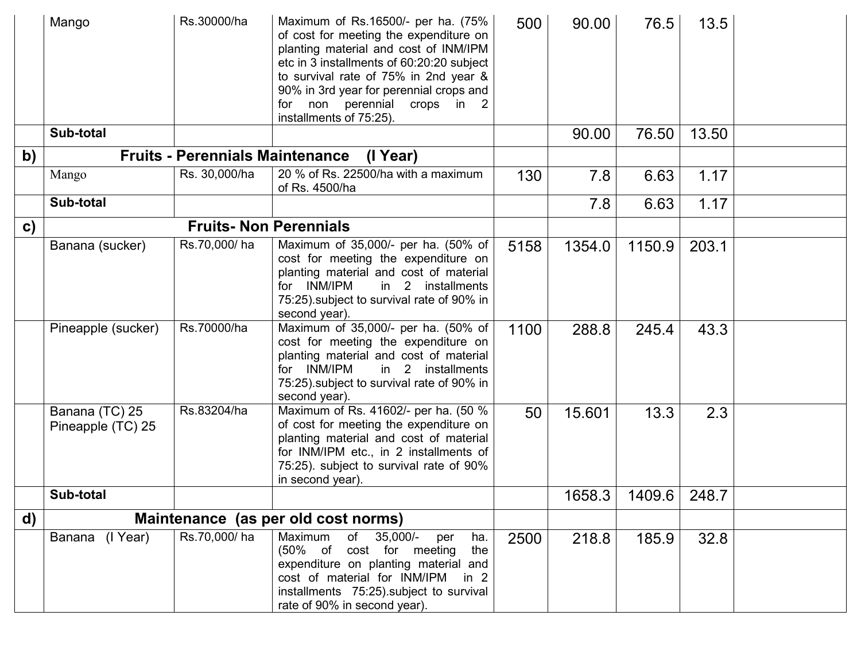|               | Mango                               | Rs.30000/ha                            | Maximum of Rs.16500/- per ha. (75%<br>of cost for meeting the expenditure on<br>planting material and cost of INM/IPM<br>etc in 3 installments of 60:20:20 subject<br>to survival rate of 75% in 2nd year &<br>90% in 3rd year for perennial crops and<br>for non perennial crops in 2<br>installments of 75:25). | 500  | 90.00  | 76.5   | 13.5  |  |
|---------------|-------------------------------------|----------------------------------------|-------------------------------------------------------------------------------------------------------------------------------------------------------------------------------------------------------------------------------------------------------------------------------------------------------------------|------|--------|--------|-------|--|
|               | Sub-total                           |                                        |                                                                                                                                                                                                                                                                                                                   |      | 90.00  | 76.50  | 13.50 |  |
| b)            |                                     | <b>Fruits - Perennials Maintenance</b> | (I Year)                                                                                                                                                                                                                                                                                                          |      |        |        |       |  |
|               | Mango                               | Rs. 30,000/ha                          | 20 % of Rs. 22500/ha with a maximum<br>of Rs. 4500/ha                                                                                                                                                                                                                                                             | 130  | 7.8    | 6.63   | 1.17  |  |
|               | Sub-total                           |                                        |                                                                                                                                                                                                                                                                                                                   |      | 7.8    | 6.63   | 1.17  |  |
| $\mathbf{c})$ |                                     |                                        | <b>Fruits-Non Perennials</b>                                                                                                                                                                                                                                                                                      |      |        |        |       |  |
|               | Banana (sucker)                     | Rs.70,000/ha                           | Maximum of 35,000/- per ha. (50% of<br>cost for meeting the expenditure on<br>planting material and cost of material<br>in 2 installments<br>for INM/IPM<br>75:25) subject to survival rate of 90% in<br>second year).                                                                                            | 5158 | 1354.0 | 1150.9 | 203.1 |  |
|               | Pineapple (sucker)                  | Rs.70000/ha                            | Maximum of 35,000/- per ha. (50% of<br>cost for meeting the expenditure on<br>planting material and cost of material<br>in 2 installments<br>for INM/IPM<br>75:25) subject to survival rate of 90% in<br>second year).                                                                                            | 1100 | 288.8  | 245.4  | 43.3  |  |
|               | Banana (TC) 25<br>Pineapple (TC) 25 | Rs.83204/ha                            | Maximum of Rs. 41602/- per ha. (50 %<br>of cost for meeting the expenditure on<br>planting material and cost of material<br>for INM/IPM etc., in 2 installments of<br>75:25). subject to survival rate of 90%<br>in second year).                                                                                 | 50   | 15.601 | 13.3   | 2.3   |  |
|               | Sub-total                           |                                        |                                                                                                                                                                                                                                                                                                                   |      | 1658.3 | 1409.6 | 248.7 |  |
| d)            |                                     |                                        | Maintenance (as per old cost norms)                                                                                                                                                                                                                                                                               |      |        |        |       |  |
|               | Banana (I Year)                     | Rs.70,000/ha                           | of 35,000/-<br>Maximum<br>ha.<br>per<br>(50% of cost for meeting<br>the<br>expenditure on planting material and<br>cost of material for INM/IPM<br>in $2$<br>installments 75:25). subject to survival<br>rate of 90% in second year).                                                                             | 2500 | 218.8  | 185.9  | 32.8  |  |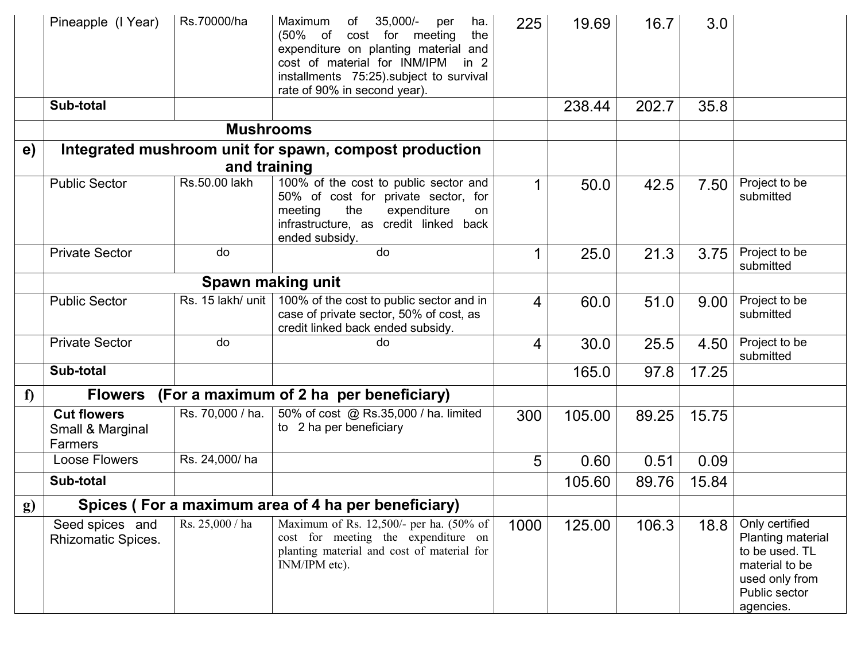|            | Pineapple (I Year)                                | Rs.70000/ha       | $35,000/-$<br>Maximum<br>of<br>ha.<br>per<br>the<br>$(50\% \text{ of }$<br>cost for meeting<br>expenditure on planting material and<br>cost of material for INM/IPM<br>in $2$<br>installments 75:25).subject to survival<br>rate of 90% in second year). | 225  | 19.69  | 16.7  | 3.0   |                                                                                                                         |
|------------|---------------------------------------------------|-------------------|----------------------------------------------------------------------------------------------------------------------------------------------------------------------------------------------------------------------------------------------------------|------|--------|-------|-------|-------------------------------------------------------------------------------------------------------------------------|
|            | Sub-total                                         |                   |                                                                                                                                                                                                                                                          |      | 238.44 | 202.7 | 35.8  |                                                                                                                         |
|            |                                                   | <b>Mushrooms</b>  |                                                                                                                                                                                                                                                          |      |        |       |       |                                                                                                                         |
| e)         |                                                   |                   | Integrated mushroom unit for spawn, compost production                                                                                                                                                                                                   |      |        |       |       |                                                                                                                         |
|            |                                                   | and training      |                                                                                                                                                                                                                                                          |      |        |       |       |                                                                                                                         |
|            | <b>Public Sector</b>                              | Rs.50.00 lakh     | 100% of the cost to public sector and<br>50% of cost for private sector, for<br>the<br>expenditure<br>meeting<br>on<br>infrastructure, as credit linked back<br>ended subsidy.                                                                           | 1    | 50.0   | 42.5  | 7.50  | Project to be<br>submitted                                                                                              |
|            | <b>Private Sector</b>                             | do                | do                                                                                                                                                                                                                                                       |      | 25.0   | 21.3  | 3.75  | Project to be<br>submitted                                                                                              |
|            |                                                   |                   | Spawn making unit                                                                                                                                                                                                                                        |      |        |       |       |                                                                                                                         |
|            | <b>Public Sector</b>                              | Rs. 15 lakh/ unit | 100% of the cost to public sector and in<br>case of private sector, 50% of cost, as<br>credit linked back ended subsidy.                                                                                                                                 | 4    | 60.0   | 51.0  | 9.00  | Project to be<br>submitted                                                                                              |
|            | <b>Private Sector</b>                             | do                | do                                                                                                                                                                                                                                                       | 4    | 30.0   | 25.5  | 4.50  | Project to be<br>submitted                                                                                              |
|            | Sub-total                                         |                   |                                                                                                                                                                                                                                                          |      | 165.0  | 97.8  | 17.25 |                                                                                                                         |
| f          | <b>Flowers</b>                                    |                   | (For a maximum of 2 ha per beneficiary)                                                                                                                                                                                                                  |      |        |       |       |                                                                                                                         |
|            | <b>Cut flowers</b><br>Small & Marginal<br>Farmers | Rs. 70,000 / ha.  | 50% of cost @ Rs.35,000 / ha. limited<br>to 2 ha per beneficiary                                                                                                                                                                                         | 300  | 105.00 | 89.25 | 15.75 |                                                                                                                         |
|            | Loose Flowers                                     | Rs. 24,000/ha     |                                                                                                                                                                                                                                                          | 5    | 0.60   | 0.51  | 0.09  |                                                                                                                         |
|            | Sub-total                                         |                   |                                                                                                                                                                                                                                                          |      | 105.60 | 89.76 | 15.84 |                                                                                                                         |
| <b>g</b> ) |                                                   |                   | Spices (For a maximum area of 4 ha per beneficiary)                                                                                                                                                                                                      |      |        |       |       |                                                                                                                         |
|            | Seed spices and<br><b>Rhizomatic Spices.</b>      | Rs. 25,000 / ha   | Maximum of Rs. 12,500/- per ha. (50% of<br>cost for meeting the expenditure on<br>planting material and cost of material for<br>INM/IPM etc).                                                                                                            | 1000 | 125.00 | 106.3 | 18.8  | Only certified<br>Planting material<br>to be used. TL<br>material to be<br>used only from<br>Public sector<br>agencies. |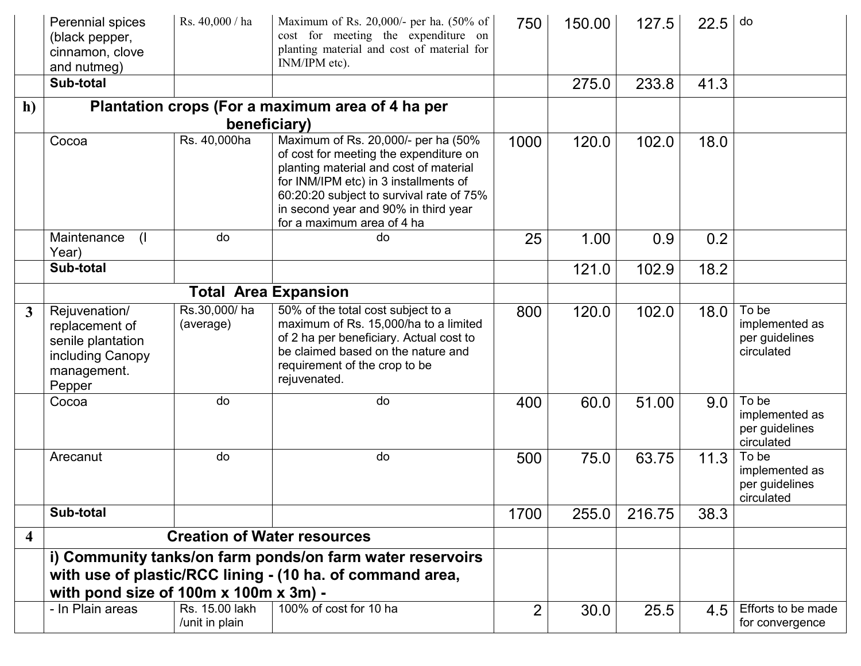|                         | Perennial spices<br>(black pepper,<br>cinnamon, clove<br>and nutmeg)<br>Sub-total                 | Rs. 40,000 / ha                    | Maximum of Rs. 20,000/- per ha. (50% of<br>cost for meeting the expenditure on<br>planting material and cost of material for<br>INM/IPM etc).                                                                                                                                      | 750            | 150.00 | 127.5  | 22.5 | do                                                      |
|-------------------------|---------------------------------------------------------------------------------------------------|------------------------------------|------------------------------------------------------------------------------------------------------------------------------------------------------------------------------------------------------------------------------------------------------------------------------------|----------------|--------|--------|------|---------------------------------------------------------|
|                         |                                                                                                   |                                    |                                                                                                                                                                                                                                                                                    |                | 275.0  | 233.8  | 41.3 |                                                         |
| h)                      |                                                                                                   | beneficiary)                       | Plantation crops (For a maximum area of 4 ha per                                                                                                                                                                                                                                   |                |        |        |      |                                                         |
|                         | Cocoa                                                                                             | Rs. 40,000ha                       | Maximum of Rs. 20,000/- per ha (50%<br>of cost for meeting the expenditure on<br>planting material and cost of material<br>for INM/IPM etc) in 3 installments of<br>60:20:20 subject to survival rate of 75%<br>in second year and 90% in third year<br>for a maximum area of 4 ha | 1000           | 120.0  | 102.0  | 18.0 |                                                         |
|                         | Maintenance<br>$\left( \right $<br>Year)                                                          | do                                 | do                                                                                                                                                                                                                                                                                 | 25             | 1.00   | 0.9    | 0.2  |                                                         |
|                         | Sub-total                                                                                         |                                    |                                                                                                                                                                                                                                                                                    |                | 121.0  | 102.9  | 18.2 |                                                         |
|                         |                                                                                                   |                                    | <b>Total Area Expansion</b>                                                                                                                                                                                                                                                        |                |        |        |      |                                                         |
| $\mathbf{3}$            | Rejuvenation/<br>replacement of<br>senile plantation<br>including Canopy<br>management.<br>Pepper | Rs.30,000/ha<br>(average)          | 50% of the total cost subject to a<br>maximum of Rs. 15,000/ha to a limited<br>of 2 ha per beneficiary. Actual cost to<br>be claimed based on the nature and<br>requirement of the crop to be<br>rejuvenated.                                                                      | 800            | 120.0  | 102.0  | 18.0 | To be<br>implemented as<br>per guidelines<br>circulated |
|                         | Cocoa                                                                                             | do                                 | do                                                                                                                                                                                                                                                                                 | 400            | 60.0   | 51.00  | 9.0  | To be<br>implemented as<br>per guidelines<br>circulated |
|                         | Arecanut                                                                                          | do                                 | do                                                                                                                                                                                                                                                                                 | 500            | 75.0   | 63.75  | 11.3 | To be<br>implemented as<br>per guidelines<br>circulated |
|                         | Sub-total                                                                                         |                                    |                                                                                                                                                                                                                                                                                    | 1700           | 255.0  | 216.75 | 38.3 |                                                         |
| $\overline{\mathbf{4}}$ |                                                                                                   | <b>Creation of Water resources</b> |                                                                                                                                                                                                                                                                                    |                |        |        |      |                                                         |
|                         | with pond size of 100m x 100m x 3m) -                                                             |                                    | i) Community tanks/on farm ponds/on farm water reservoirs<br>with use of plastic/RCC lining - (10 ha. of command area,                                                                                                                                                             |                |        |        |      |                                                         |
|                         | - In Plain areas                                                                                  | Rs. 15.00 lakh                     | 100% of cost for 10 ha                                                                                                                                                                                                                                                             | $\overline{2}$ | 30.0   | 25.5   | 4.5  | Efforts to be made                                      |
|                         |                                                                                                   | /unit in plain                     |                                                                                                                                                                                                                                                                                    |                |        |        |      | for convergence                                         |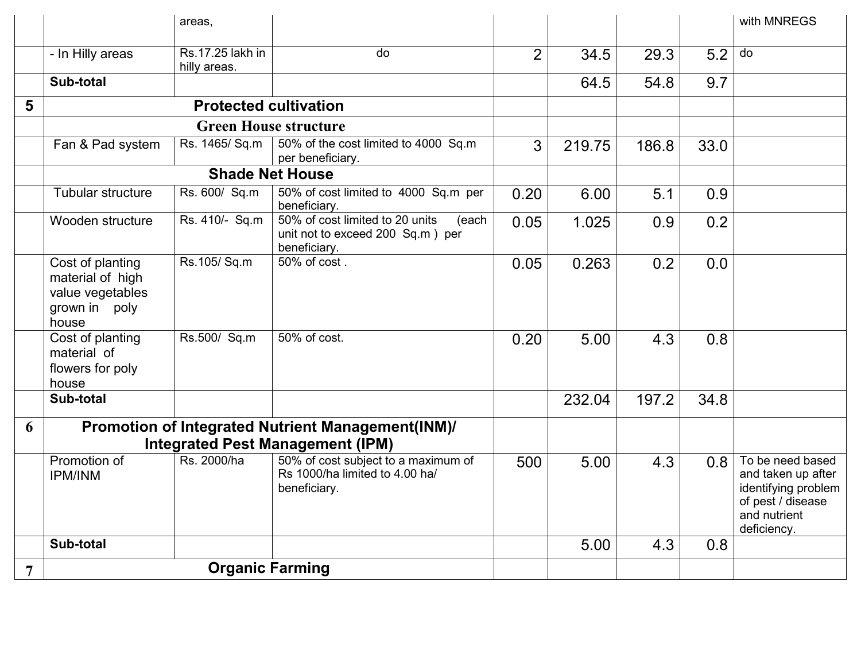|                |                                                                                    | areas,                           |                                                                                              |              |        |       |      | with MNREGS                                                                                                       |
|----------------|------------------------------------------------------------------------------------|----------------------------------|----------------------------------------------------------------------------------------------|--------------|--------|-------|------|-------------------------------------------------------------------------------------------------------------------|
|                | - In Hilly areas                                                                   | Rs.17.25 lakh in<br>hilly areas. | do                                                                                           | 2            | 34.5   | 29.3  | 5.2  | do                                                                                                                |
|                | Sub-total                                                                          |                                  |                                                                                              |              | 64.5   | 54.8  | 9.7  |                                                                                                                   |
| 5              |                                                                                    | <b>Protected cultivation</b>     |                                                                                              |              |        |       |      |                                                                                                                   |
|                |                                                                                    |                                  | <b>Green House structure</b>                                                                 |              |        |       |      |                                                                                                                   |
|                | Fan & Pad system                                                                   | Rs. 1465/ Sq.m                   | 50% of the cost limited to 4000 Sq.m<br>per beneficiary.                                     | $\mathbf{3}$ | 219.75 | 186.8 | 33.0 |                                                                                                                   |
|                |                                                                                    |                                  | <b>Shade Net House</b>                                                                       |              |        |       |      |                                                                                                                   |
|                | Tubular structure                                                                  | Rs. 600/ Sq.m                    | 50% of cost limited to 4000 Sq.m per<br>beneficiary.                                         | 0.20         | 6.00   | 5.1   | 0.9  |                                                                                                                   |
|                | Wooden structure                                                                   | Rs. 410/- Sq.m                   | 50% of cost limited to 20 units<br>(each<br>unit not to exceed 200 Sq.m) per<br>beneficiary. | 0.05         | 1.025  | 0.9   | 0.2  |                                                                                                                   |
|                | Cost of planting<br>material of high<br>value vegetables<br>grown in poly<br>house | Rs.105/Sq.m                      | 50% of cost.                                                                                 | 0.05         | 0.263  | 0.2   | 0.0  |                                                                                                                   |
|                | Cost of planting<br>material of<br>flowers for poly<br>house                       | Rs.500/ Sq.m                     | 50% of cost.                                                                                 | 0.20         | 5.00   | 4.3   | 0.8  |                                                                                                                   |
|                | Sub-total                                                                          |                                  |                                                                                              |              | 232.04 | 197.2 | 34.8 |                                                                                                                   |
| 6              |                                                                                    |                                  | Promotion of Integrated Nutrient Management(INM)/<br><b>Integrated Pest Management (IPM)</b> |              |        |       |      |                                                                                                                   |
|                | Promotion of<br><b>IPM/INM</b>                                                     | Rs. 2000/ha                      | 50% of cost subject to a maximum of<br>Rs 1000/ha limited to 4.00 ha/<br>beneficiary.        | 500          | 5.00   | 4.3   | 0.8  | To be need based<br>and taken up after<br>identifying problem<br>of pest / disease<br>and nutrient<br>deficiency. |
|                | Sub-total                                                                          |                                  |                                                                                              |              | 5.00   | 4.3   | 0.8  |                                                                                                                   |
| $\overline{7}$ |                                                                                    | <b>Organic Farming</b>           |                                                                                              |              |        |       |      |                                                                                                                   |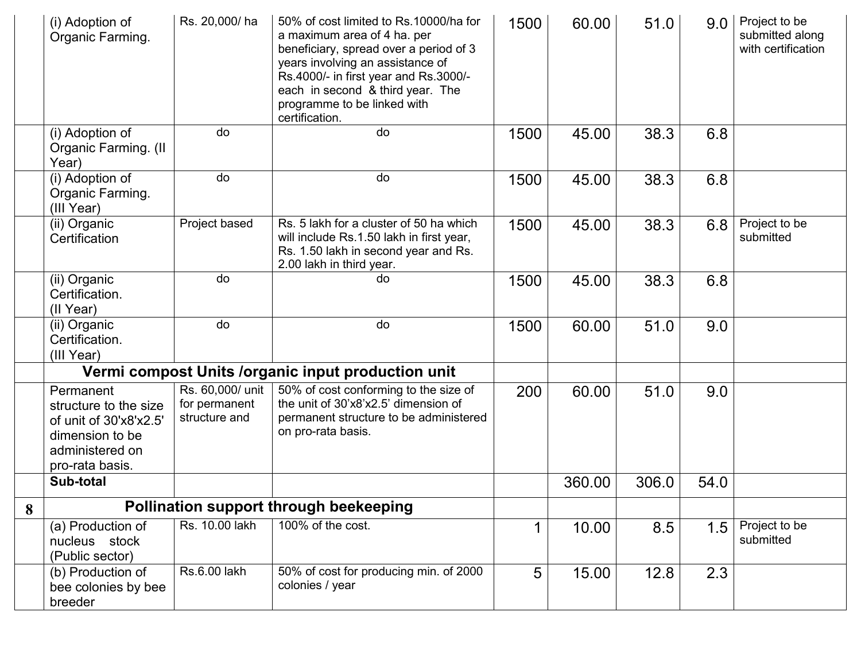|   | (i) Adoption of<br>Organic Farming.                                                                                   | Rs. 20,000/ha                                      | 50% of cost limited to Rs.10000/ha for<br>a maximum area of 4 ha. per<br>beneficiary, spread over a period of 3<br>years involving an assistance of<br>Rs.4000/- in first year and Rs.3000/-<br>each in second & third year. The<br>programme to be linked with<br>certification. | 1500 | 60.00  | 51.0  | 9.0  | Project to be<br>submitted along<br>with certification |
|---|-----------------------------------------------------------------------------------------------------------------------|----------------------------------------------------|-----------------------------------------------------------------------------------------------------------------------------------------------------------------------------------------------------------------------------------------------------------------------------------|------|--------|-------|------|--------------------------------------------------------|
|   | (i) Adoption of<br>Organic Farming. (II<br>Year)                                                                      | do                                                 | do                                                                                                                                                                                                                                                                                | 1500 | 45.00  | 38.3  | 6.8  |                                                        |
|   | (i) Adoption of<br>Organic Farming.<br>(III Year)                                                                     | do                                                 | do                                                                                                                                                                                                                                                                                | 1500 | 45.00  | 38.3  | 6.8  |                                                        |
|   | (ii) Organic<br>Certification                                                                                         | Project based                                      | Rs. 5 lakh for a cluster of 50 ha which<br>will include Rs.1.50 lakh in first year,<br>Rs. 1.50 lakh in second year and Rs.<br>2.00 lakh in third year.                                                                                                                           | 1500 | 45.00  | 38.3  | 6.8  | Project to be<br>submitted                             |
|   | (ii) Organic<br>Certification.<br>(II Year)                                                                           | do                                                 | do                                                                                                                                                                                                                                                                                | 1500 | 45.00  | 38.3  | 6.8  |                                                        |
|   | (ii) Organic<br>Certification.<br>(III Year)                                                                          | do                                                 | do                                                                                                                                                                                                                                                                                | 1500 | 60.00  | 51.0  | 9.0  |                                                        |
|   |                                                                                                                       |                                                    | Vermi compost Units / organic input production unit                                                                                                                                                                                                                               |      |        |       |      |                                                        |
|   | Permanent<br>structure to the size<br>of unit of 30'x8'x2.5'<br>dimension to be<br>administered on<br>pro-rata basis. | Rs. 60,000/ unit<br>for permanent<br>structure and | 50% of cost conforming to the size of<br>the unit of 30'x8'x2.5' dimension of<br>permanent structure to be administered<br>on pro-rata basis.                                                                                                                                     | 200  | 60.00  | 51.0  | 9.0  |                                                        |
|   | Sub-total                                                                                                             |                                                    |                                                                                                                                                                                                                                                                                   |      | 360.00 | 306.0 | 54.0 |                                                        |
| 8 |                                                                                                                       |                                                    | Pollination support through beekeeping                                                                                                                                                                                                                                            |      |        |       |      |                                                        |
|   | (a) Production of<br>nucleus stock<br>(Public sector)                                                                 | Rs. 10.00 lakh                                     | 100% of the cost.                                                                                                                                                                                                                                                                 |      | 10.00  | 8.5   | 1.5  | Project to be<br>submitted                             |
|   | (b) Production of<br>bee colonies by bee<br>breeder                                                                   | Rs.6.00 lakh                                       | 50% of cost for producing min. of 2000<br>colonies / year                                                                                                                                                                                                                         | 5    | 15.00  | 12.8  | 2.3  |                                                        |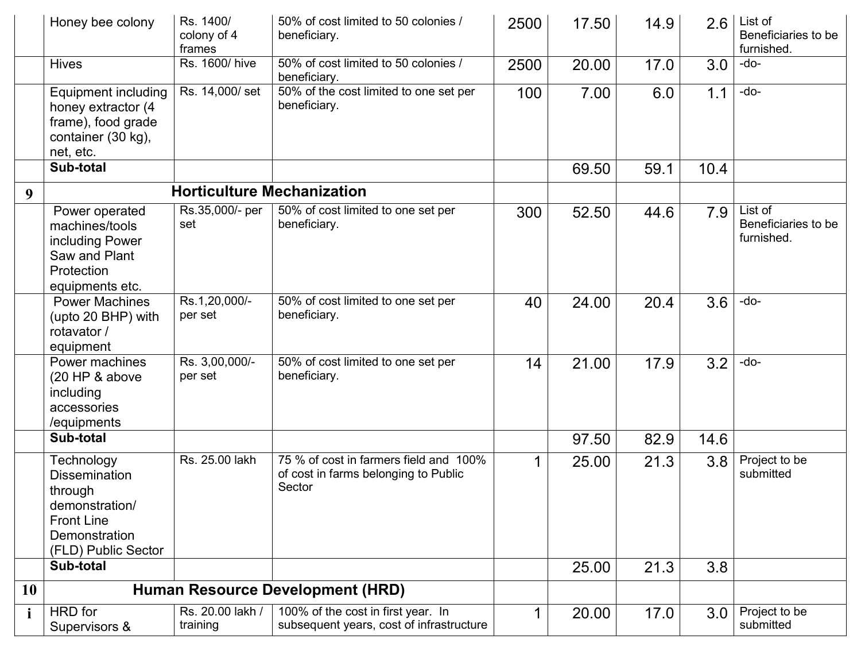|              | Honey bee colony                                                                                                             | Rs. 1400/<br>colony of 4<br>frames | 50% of cost limited to 50 colonies /<br>beneficiary.                                     | 2500 | 17.50 | 14.9 | 2.6  | List of<br>Beneficiaries to be<br>furnished. |
|--------------|------------------------------------------------------------------------------------------------------------------------------|------------------------------------|------------------------------------------------------------------------------------------|------|-------|------|------|----------------------------------------------|
|              | <b>Hives</b>                                                                                                                 | Rs. 1600/ hive                     | 50% of cost limited to 50 colonies /<br>beneficiary.                                     | 2500 | 20.00 | 17.0 | 3.0  | -do-                                         |
|              | <b>Equipment including</b><br>honey extractor (4<br>frame), food grade<br>container (30 kg),<br>net, etc.                    | Rs. 14,000/set                     | 50% of the cost limited to one set per<br>beneficiary.                                   | 100  | 7.00  | 6.0  | 1.1  | $-do-$                                       |
|              | Sub-total                                                                                                                    |                                    |                                                                                          |      | 69.50 | 59.1 | 10.4 |                                              |
| 9            |                                                                                                                              |                                    | <b>Horticulture Mechanization</b>                                                        |      |       |      |      |                                              |
|              | Power operated<br>machines/tools<br>including Power<br>Saw and Plant<br>Protection<br>equipments etc.                        | Rs.35,000/- per<br>set             | 50% of cost limited to one set per<br>beneficiary.                                       | 300  | 52.50 | 44.6 | 7.9  | List of<br>Beneficiaries to be<br>furnished. |
|              | <b>Power Machines</b><br>(upto 20 BHP) with<br>rotavator /<br>equipment                                                      | Rs.1,20,000/-<br>per set           | 50% of cost limited to one set per<br>beneficiary.                                       | 40   | 24.00 | 20.4 | 3.6  | $-do-$                                       |
|              | Power machines<br>(20 HP & above<br>including<br>accessories<br>/equipments                                                  | Rs. 3,00,000/-<br>per set          | 50% of cost limited to one set per<br>beneficiary.                                       | 14   | 21.00 | 17.9 | 3.2  | -do-                                         |
|              | Sub-total                                                                                                                    |                                    |                                                                                          |      | 97.50 | 82.9 | 14.6 |                                              |
|              | Technology<br><b>Dissemination</b><br>through<br>demonstration/<br><b>Front Line</b><br>Demonstration<br>(FLD) Public Sector | Rs. 25.00 lakh                     | 75 % of cost in farmers field and 100%<br>of cost in farms belonging to Public<br>Sector |      | 25.00 | 21.3 | 3.8  | Project to be<br>submitted                   |
|              | Sub-total                                                                                                                    |                                    |                                                                                          |      | 25.00 | 21.3 | 3.8  |                                              |
| <b>10</b>    |                                                                                                                              |                                    | <b>Human Resource Development (HRD)</b>                                                  |      |       |      |      |                                              |
| $\mathbf{i}$ | HRD for<br>Supervisors &                                                                                                     | Rs. 20.00 lakh /<br>training       | 100% of the cost in first year. In<br>subsequent years, cost of infrastructure           |      | 20.00 | 17.0 | 3.0  | Project to be<br>submitted                   |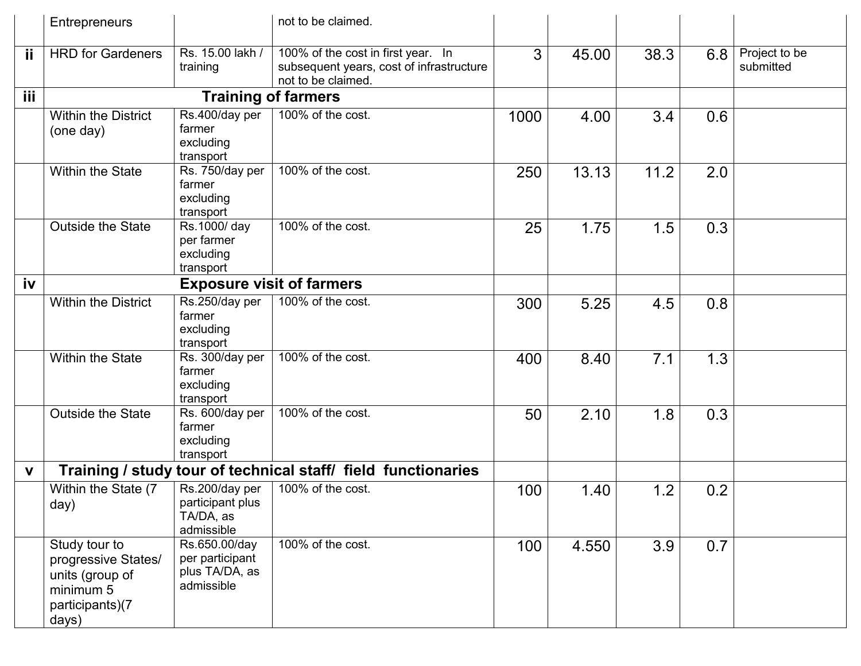|             | Entrepreneurs                                                                                    |                                                                  | not to be claimed.                                                                                   |      |       |      |     |                            |
|-------------|--------------------------------------------------------------------------------------------------|------------------------------------------------------------------|------------------------------------------------------------------------------------------------------|------|-------|------|-----|----------------------------|
| ij          | <b>HRD</b> for Gardeners                                                                         | Rs. 15.00 lakh /<br>training                                     | 100% of the cost in first year. In<br>subsequent years, cost of infrastructure<br>not to be claimed. | 3    | 45.00 | 38.3 | 6.8 | Project to be<br>submitted |
| iii         |                                                                                                  | <b>Training of farmers</b>                                       |                                                                                                      |      |       |      |     |                            |
|             | <b>Within the District</b><br>(one day)                                                          | Rs.400/day per<br>farmer<br>excluding<br>transport               | 100% of the cost.                                                                                    | 1000 | 4.00  | 3.4  | 0.6 |                            |
|             | <b>Within the State</b>                                                                          | Rs. 750/day per<br>farmer<br>excluding<br>transport              | 100% of the cost.                                                                                    | 250  | 13.13 | 11.2 | 2.0 |                            |
|             | <b>Outside the State</b>                                                                         | Rs.1000/day<br>per farmer<br>excluding<br>transport              | 100% of the cost.                                                                                    | 25   | 1.75  | 1.5  | 0.3 |                            |
| iv          |                                                                                                  |                                                                  |                                                                                                      |      |       |      |     |                            |
|             | <b>Within the District</b>                                                                       | Rs.250/day per<br>farmer<br>excluding<br>transport               | 100% of the cost.                                                                                    | 300  | 5.25  | 4.5  | 0.8 |                            |
|             | <b>Within the State</b>                                                                          | Rs. 300/day per<br>farmer<br>excluding<br>transport              | 100% of the cost.                                                                                    | 400  | 8.40  | 7.1  | 1.3 |                            |
|             | <b>Outside the State</b>                                                                         | Rs. 600/day per<br>farmer<br>excluding<br>transport              | 100% of the cost.                                                                                    | 50   | 2.10  | 1.8  | 0.3 |                            |
| $\mathbf v$ |                                                                                                  |                                                                  | Training / study tour of technical staff/ field functionaries                                        |      |       |      |     |                            |
|             | Within the State (7<br>day)                                                                      | Rs.200/day per<br>participant plus<br>TA/DA, as<br>admissible    | 100% of the cost.                                                                                    | 100  | 1.40  | 1.2  | 0.2 |                            |
|             | Study tour to<br>progressive States/<br>units (group of<br>minimum 5<br>participants)(7<br>days) | Rs.650.00/day<br>per participant<br>plus TA/DA, as<br>admissible | 100% of the cost.                                                                                    | 100  | 4.550 | 3.9  | 0.7 |                            |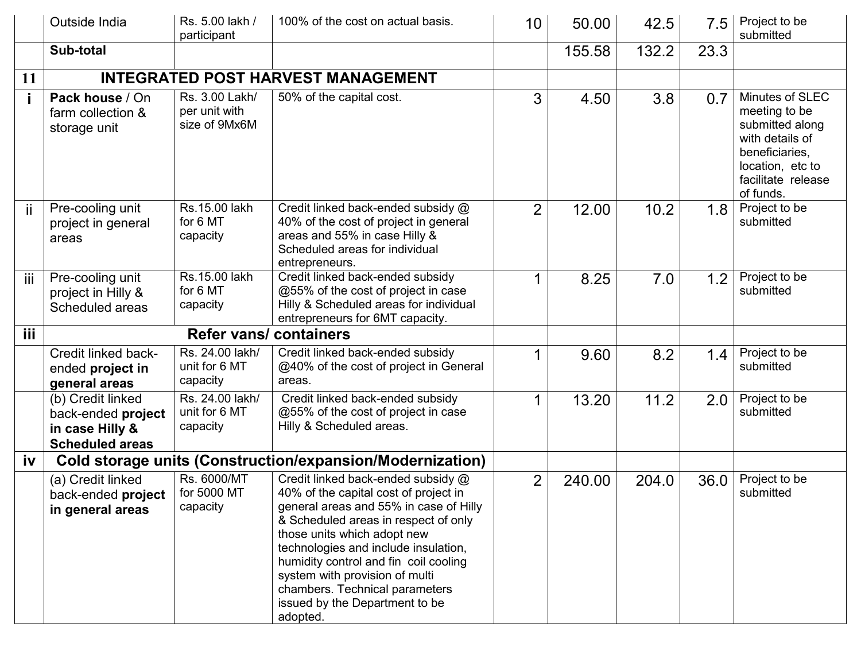|     | Outside India                                                                        | Rs. 5.00 lakh /<br>participant                   | 100% of the cost on actual basis.                                                                                                                                                                                                                                                                                                                                                               | 10             | 50.00  | 42.5  | 7.5  | Project to be<br>submitted                                                                                                                      |
|-----|--------------------------------------------------------------------------------------|--------------------------------------------------|-------------------------------------------------------------------------------------------------------------------------------------------------------------------------------------------------------------------------------------------------------------------------------------------------------------------------------------------------------------------------------------------------|----------------|--------|-------|------|-------------------------------------------------------------------------------------------------------------------------------------------------|
|     | Sub-total                                                                            |                                                  |                                                                                                                                                                                                                                                                                                                                                                                                 |                | 155.58 | 132.2 | 23.3 |                                                                                                                                                 |
| 11  |                                                                                      |                                                  | <b>INTEGRATED POST HARVEST MANAGEMENT</b>                                                                                                                                                                                                                                                                                                                                                       |                |        |       |      |                                                                                                                                                 |
|     | Pack house / On<br>farm collection &<br>storage unit                                 | Rs. 3.00 Lakh/<br>per unit with<br>size of 9Mx6M | 50% of the capital cost.                                                                                                                                                                                                                                                                                                                                                                        | 3              | 4.50   | 3.8   | 0.7  | Minutes of SLEC<br>meeting to be<br>submitted along<br>with details of<br>beneficiaries,<br>location, etc to<br>facilitate release<br>of funds. |
| Ϊİ  | Pre-cooling unit<br>project in general<br>areas                                      | Rs.15.00 lakh<br>for 6 MT<br>capacity            | Credit linked back-ended subsidy @<br>40% of the cost of project in general<br>areas and 55% in case Hilly &<br>Scheduled areas for individual<br>entrepreneurs.                                                                                                                                                                                                                                | $\overline{2}$ | 12.00  | 10.2  | 1.8  | Project to be<br>submitted                                                                                                                      |
| iij | Pre-cooling unit<br>project in Hilly &<br>Scheduled areas                            | Rs.15.00 lakh<br>for 6 MT<br>capacity            | Credit linked back-ended subsidy<br>@55% of the cost of project in case<br>Hilly & Scheduled areas for individual<br>entrepreneurs for 6MT capacity.                                                                                                                                                                                                                                            |                | 8.25   | 7.0   | 1.2  | Project to be<br>submitted                                                                                                                      |
| iii |                                                                                      | <b>Refer vans/ containers</b>                    |                                                                                                                                                                                                                                                                                                                                                                                                 |                |        |       |      |                                                                                                                                                 |
|     | Credit linked back-<br>ended project in<br>general areas                             | Rs. 24.00 lakh/<br>unit for 6 MT<br>capacity     | Credit linked back-ended subsidy<br>@40% of the cost of project in General<br>areas.                                                                                                                                                                                                                                                                                                            |                | 9.60   | 8.2   | 1.4  | Project to be<br>submitted                                                                                                                      |
|     | (b) Credit linked<br>back-ended project<br>in case Hilly &<br><b>Scheduled areas</b> | Rs. 24.00 lakh/<br>unit for 6 MT<br>capacity     | Credit linked back-ended subsidy<br>@55% of the cost of project in case<br>Hilly & Scheduled areas.                                                                                                                                                                                                                                                                                             |                | 13.20  | 11.2  | 2.0  | Project to be<br>submitted                                                                                                                      |
| iv  |                                                                                      |                                                  | <b>Cold storage units (Construction/expansion/Modernization)</b>                                                                                                                                                                                                                                                                                                                                |                |        |       |      |                                                                                                                                                 |
|     | (a) Credit linked<br>back-ended project<br>in general areas                          | Rs. 6000/MT<br>for 5000 MT<br>capacity           | Credit linked back-ended subsidy @<br>40% of the capital cost of project in<br>general areas and 55% in case of Hilly<br>& Scheduled areas in respect of only<br>those units which adopt new<br>technologies and include insulation,<br>humidity control and fin coil cooling<br>system with provision of multi<br>chambers. Technical parameters<br>issued by the Department to be<br>adopted. | 2              | 240.00 | 204.0 | 36.0 | Project to be<br>submitted                                                                                                                      |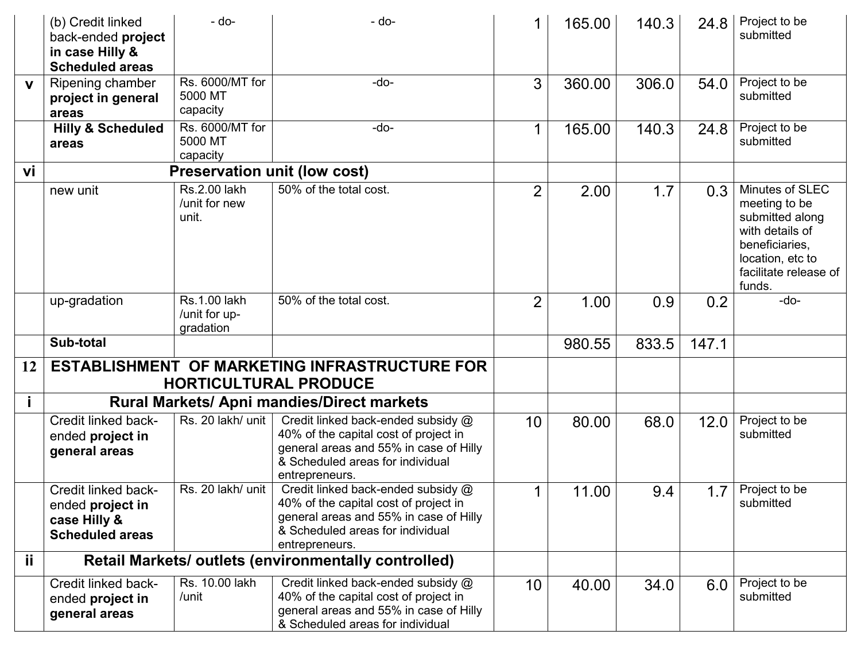|     | (b) Credit linked<br>back-ended project<br>in case Hilly &<br><b>Scheduled areas</b> | $-do-$                                     | - do-                                                                                                                                                                       |                | 165.00 | 140.3 | 24.8  | Project to be<br>submitted                                                                                                                      |
|-----|--------------------------------------------------------------------------------------|--------------------------------------------|-----------------------------------------------------------------------------------------------------------------------------------------------------------------------------|----------------|--------|-------|-------|-------------------------------------------------------------------------------------------------------------------------------------------------|
| V   | Ripening chamber<br>project in general<br>areas                                      | Rs. 6000/MT for<br>5000 MT<br>capacity     | $-do-$                                                                                                                                                                      | 3              | 360.00 | 306.0 | 54.0  | Project to be<br>submitted                                                                                                                      |
|     | <b>Hilly &amp; Scheduled</b><br>areas                                                | Rs. 6000/MT for<br>5000 MT<br>capacity     | $-do-$                                                                                                                                                                      | 1              | 165.00 | 140.3 | 24.8  | Project to be<br>submitted                                                                                                                      |
| vi  |                                                                                      |                                            | <b>Preservation unit (low cost)</b>                                                                                                                                         |                |        |       |       |                                                                                                                                                 |
|     | new unit                                                                             | Rs.2.00 lakh<br>/unit for new<br>unit.     | 50% of the total cost.                                                                                                                                                      | $\overline{2}$ | 2.00   | 1.7   | 0.3   | Minutes of SLEC<br>meeting to be<br>submitted along<br>with details of<br>beneficiaries,<br>location, etc to<br>facilitate release of<br>funds. |
|     | up-gradation                                                                         | Rs.1.00 lakh<br>/unit for up-<br>gradation | 50% of the total cost.                                                                                                                                                      | $\overline{2}$ | 1.00   | 0.9   | 0.2   | -do-                                                                                                                                            |
|     | Sub-total                                                                            |                                            |                                                                                                                                                                             |                | 980.55 | 833.5 | 147.1 |                                                                                                                                                 |
| 12  |                                                                                      |                                            | ESTABLISHMENT OF MARKETING INFRASTRUCTURE FOR<br><b>HORTICULTURAL PRODUCE</b>                                                                                               |                |        |       |       |                                                                                                                                                 |
|     |                                                                                      |                                            | <b>Rural Markets/ Apni mandies/Direct markets</b>                                                                                                                           |                |        |       |       |                                                                                                                                                 |
|     | Credit linked back-<br>ended project in<br>general areas                             | Rs. 20 lakh/ unit                          | Credit linked back-ended subsidy @<br>40% of the capital cost of project in<br>general areas and 55% in case of Hilly<br>& Scheduled areas for individual<br>entrepreneurs. | 10             | 80.00  | 68.0  | 12.0  | Project to be<br>submitted                                                                                                                      |
|     | Credit linked back-<br>ended project in<br>case Hilly &<br><b>Scheduled areas</b>    | Rs. 20 lakh/ unit                          | Credit linked back-ended subsidy @<br>40% of the capital cost of project in<br>general areas and 55% in case of Hilly<br>& Scheduled areas for individual<br>entrepreneurs. |                | 11.00  | 9.4   | 1.7   | Project to be<br>submitted                                                                                                                      |
| ii. |                                                                                      |                                            | Retail Markets/ outlets (environmentally controlled)                                                                                                                        |                |        |       |       |                                                                                                                                                 |
|     | Credit linked back-<br>ended project in<br>general areas                             | Rs. 10.00 lakh<br>/unit                    | Credit linked back-ended subsidy @<br>40% of the capital cost of project in<br>general areas and 55% in case of Hilly<br>& Scheduled areas for individual                   | 10             | 40.00  | 34.0  | 6.0   | Project to be<br>submitted                                                                                                                      |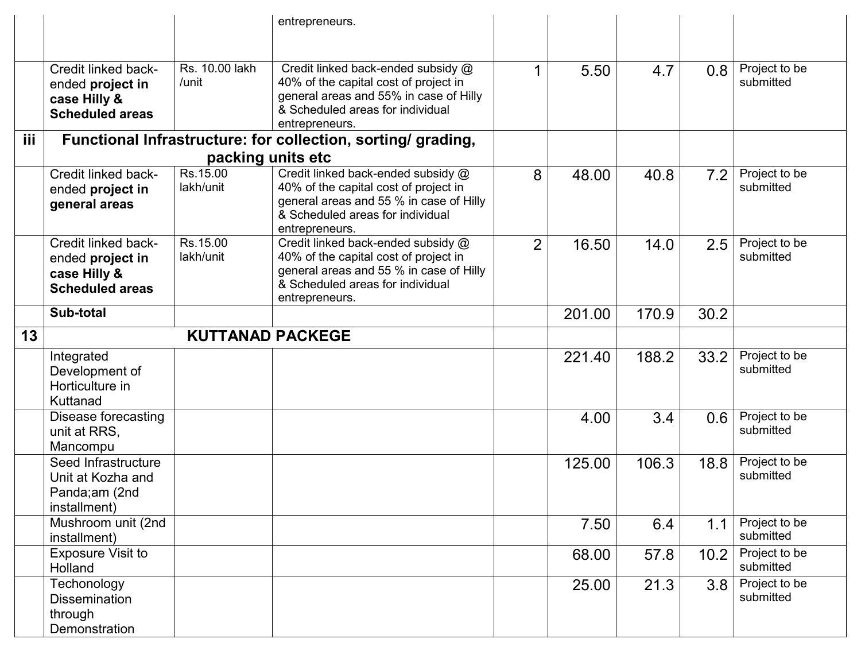|                 |                                                                                   |                         | entrepreneurs.                                                                                                                                                               |                |        |       |      |                            |
|-----------------|-----------------------------------------------------------------------------------|-------------------------|------------------------------------------------------------------------------------------------------------------------------------------------------------------------------|----------------|--------|-------|------|----------------------------|
|                 |                                                                                   |                         |                                                                                                                                                                              |                |        |       |      |                            |
|                 | Credit linked back-<br>ended project in<br>case Hilly &<br><b>Scheduled areas</b> | Rs. 10.00 lakh<br>/unit | Credit linked back-ended subsidy @<br>40% of the capital cost of project in<br>general areas and 55% in case of Hilly<br>& Scheduled areas for individual<br>entrepreneurs.  |                | 5.50   | 4.7   | 0.8  | Project to be<br>submitted |
| iii.            |                                                                                   |                         | Functional Infrastructure: for collection, sorting/ grading,                                                                                                                 |                |        |       |      |                            |
|                 |                                                                                   | packing units etc       |                                                                                                                                                                              |                |        |       |      |                            |
|                 | Credit linked back-<br>ended project in<br>general areas                          | Rs.15.00<br>lakh/unit   | Credit linked back-ended subsidy @<br>40% of the capital cost of project in<br>general areas and 55 % in case of Hilly<br>& Scheduled areas for individual<br>entrepreneurs. | 8              | 48.00  | 40.8  | 7.2  | Project to be<br>submitted |
|                 | Credit linked back-<br>ended project in<br>case Hilly &<br><b>Scheduled areas</b> | Rs.15.00<br>lakh/unit   | Credit linked back-ended subsidy @<br>40% of the capital cost of project in<br>general areas and 55 % in case of Hilly<br>& Scheduled areas for individual<br>entrepreneurs. | $\overline{2}$ | 16.50  | 14.0  | 2.5  | Project to be<br>submitted |
|                 | Sub-total                                                                         |                         |                                                                                                                                                                              |                | 201.00 | 170.9 | 30.2 |                            |
| 13 <sup>°</sup> |                                                                                   | <b>KUTTANAD PACKEGE</b> |                                                                                                                                                                              |                |        |       |      |                            |
|                 | Integrated<br>Development of<br>Horticulture in<br>Kuttanad                       |                         |                                                                                                                                                                              |                | 221.40 | 188.2 | 33.2 | Project to be<br>submitted |
|                 | Disease forecasting<br>unit at RRS,<br>Mancompu                                   |                         |                                                                                                                                                                              |                | 4.00   | 3.4   | 0.6  | Project to be<br>submitted |
|                 | Seed Infrastructure<br>Unit at Kozha and<br>Panda;am (2nd<br>installment)         |                         |                                                                                                                                                                              |                | 125.00 | 106.3 | 18.8 | Project to be<br>submitted |
|                 | Mushroom unit (2nd<br>installment)                                                |                         |                                                                                                                                                                              |                | 7.50   | 6.4   | 1.1  | Project to be<br>submitted |
|                 | <b>Exposure Visit to</b><br>Holland                                               |                         |                                                                                                                                                                              |                | 68.00  | 57.8  | 10.2 | Project to be<br>submitted |
|                 | Techonology<br><b>Dissemination</b><br>through<br>Demonstration                   |                         |                                                                                                                                                                              |                | 25.00  | 21.3  | 3.8  | Project to be<br>submitted |